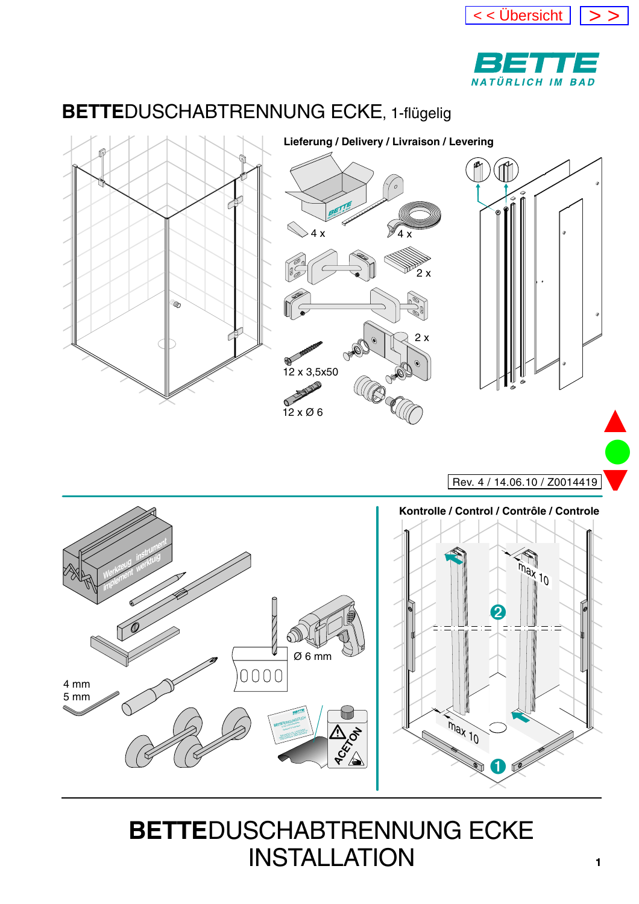



#### <span id="page-0-0"></span>**BETTE**DUSCHABTRENNUNG ECKE, 1-flügelig



Rev. 4 / 14.06.10 / Z0014419

 $\bullet$ 

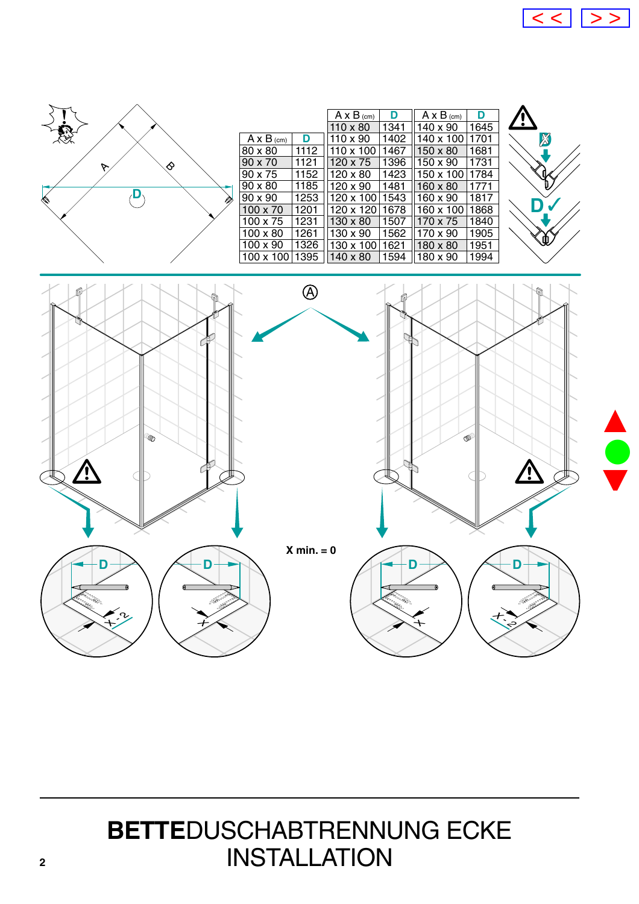

<span id="page-1-0"></span>

|                   |      | $A \times B$ (cm) | D    | $A \times B$ (cm) | D    |
|-------------------|------|-------------------|------|-------------------|------|
|                   |      | $110 \times 80$   | 1341 | 140 x 90          | 1645 |
| $A \times B$ (cm) | D    | 110 x 90          | 1402 | 140 x 100         | 1701 |
| 80 x 80           | 1112 | 110 x 100         | 1467 | 150 x 80          | 1681 |
| $90 \times 70$    | 1121 | 120 x 75          | 1396 | 150 x 90          | 1731 |
| 90 x 75           | 1152 | $120 \times 80$   | 1423 | 150 x 100         | 1784 |
| $90 \times 80$    | 1185 | 120 x 90          | 1481 | 160 x 80          | 1771 |
| $90 \times 90$    | 1253 | $120 \times 100$  | 1543 | 160 x 90          | 1817 |
| $100 \times 70$   | 1201 | 120 x 120         | 1678 | 160 x 100         | 1868 |
| $100 \times 75$   | 1231 | $130 \times 80$   | 1507 | 170 x 75          | 1840 |
| $100 \times 80$   | 1261 | 130 x 90          | 1562 | 170 x 90          | 1905 |
| $100 \times 90$   | 1326 | $130 \times 100$  | 1621 | 180 x 80          | 1951 |
| $100 \times 100$  | 1395 | 140 x 80          | 1594 | 180 x 90          | 1994 |



▲

 $\bullet$ 

▼

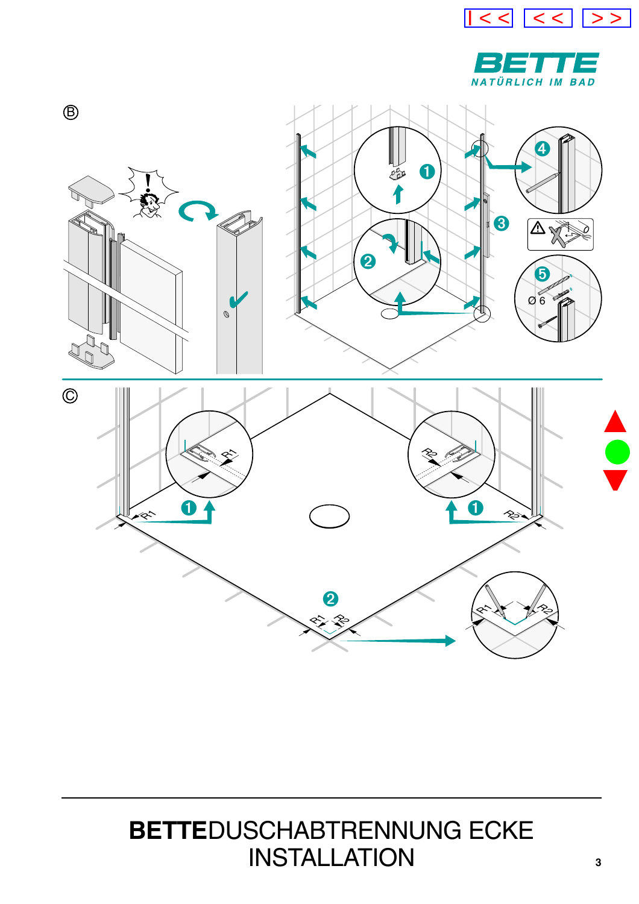



<span id="page-2-0"></span>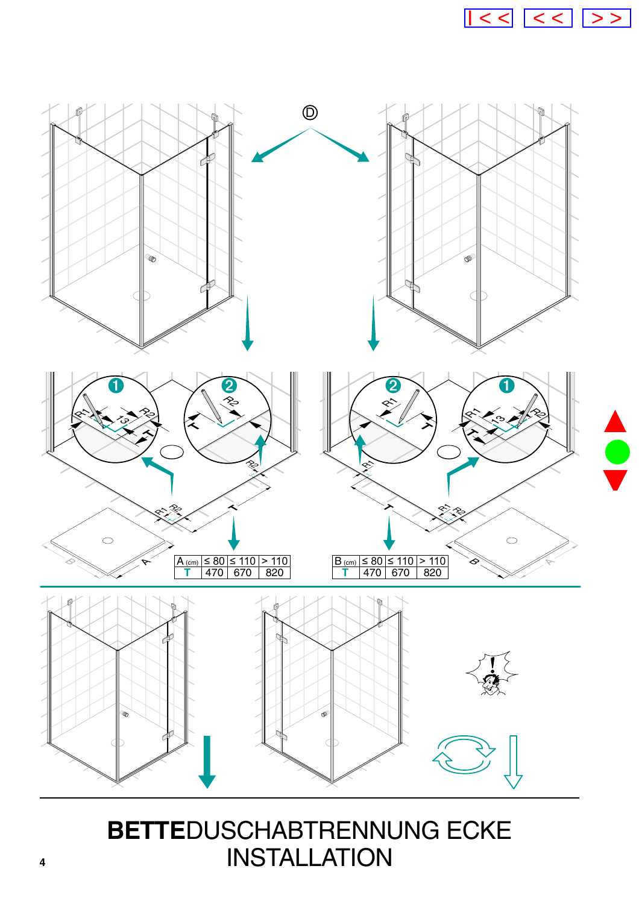

<span id="page-3-0"></span>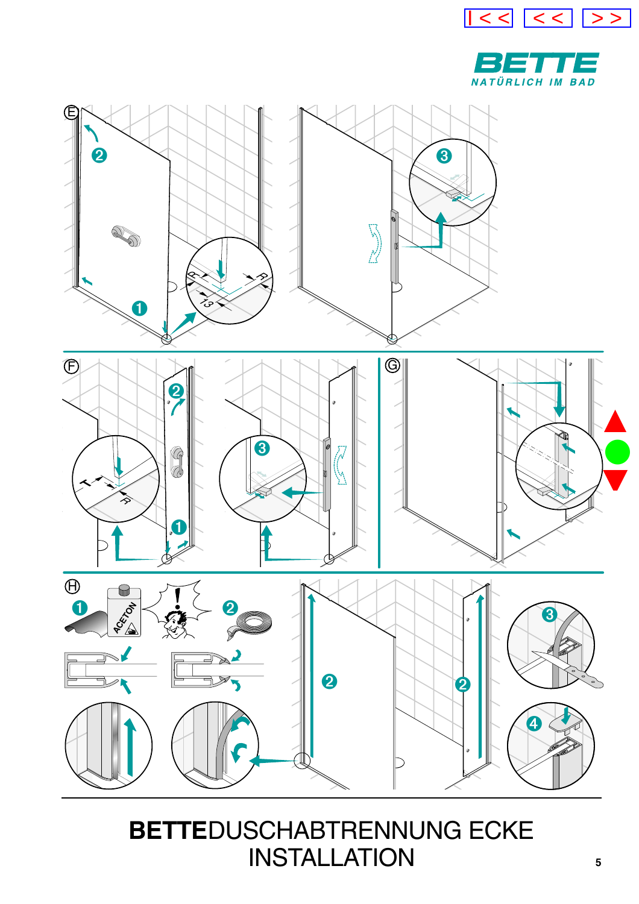



<span id="page-4-0"></span>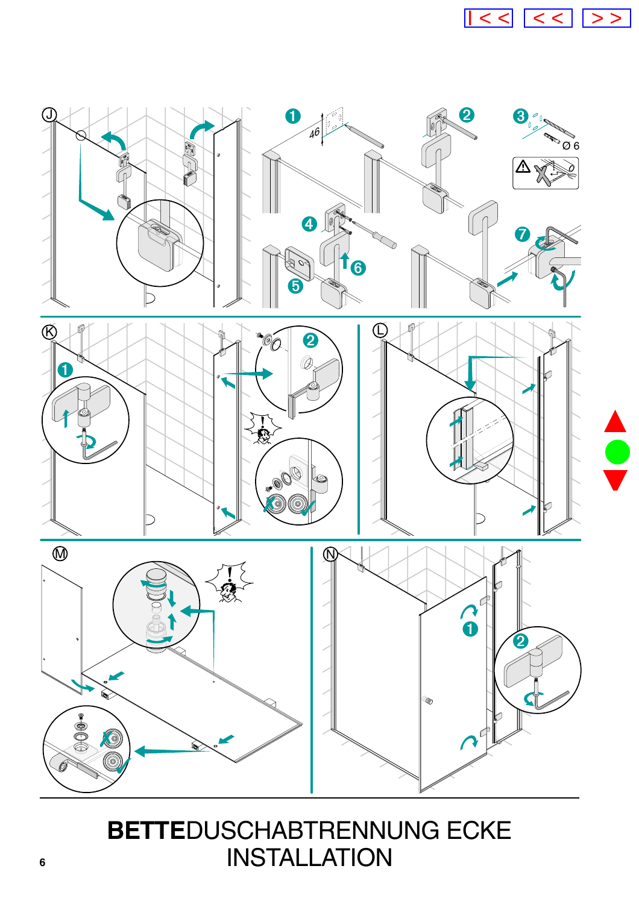

<span id="page-5-0"></span>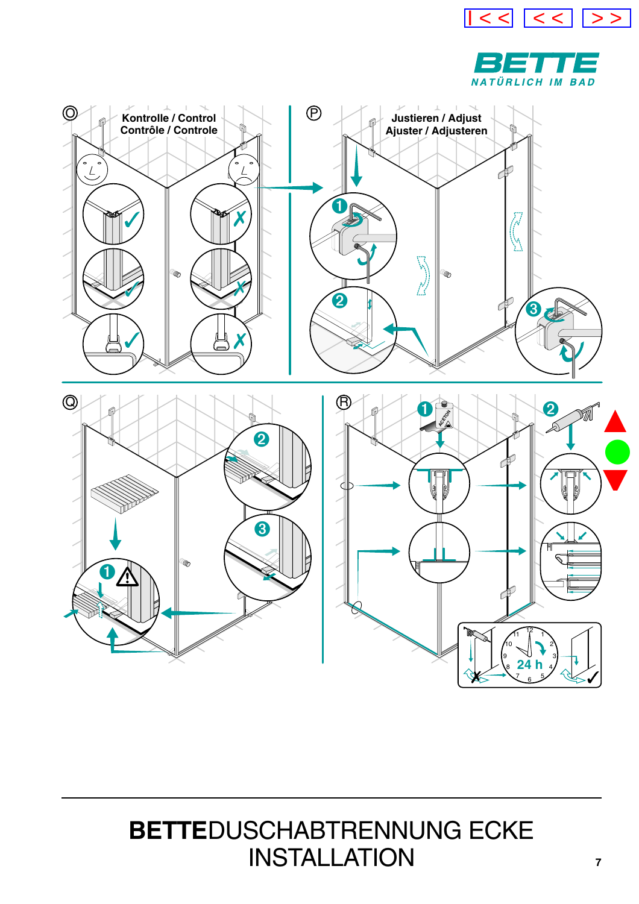



<span id="page-6-0"></span>